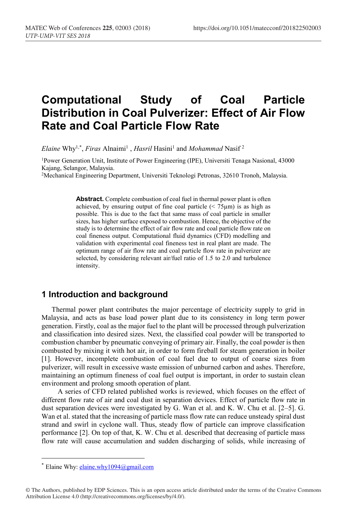# **Computational Study of Coal Particle Distribution in Coal Pulverizer: Effect of Air Flow Rate and Coal Particle Flow Rate**

*Elaine* Why1,\* , *Firas* Alnaimi1 , *Hasril* Hasini1 and *Mohammad* Nasif 2

1Power Generation Unit, Institute of Power Engineering (IPE), Universiti Tenaga Nasional, 43000 Kajang, Selangor, Malaysia.

2Mechanical Engineering Department, Universiti Teknologi Petronas, 32610 Tronoh, Malaysia.

**Abstract.** Complete combustion of coal fuel in thermal power plant is often achieved, by ensuring output of fine coal particle  $\left($  < 75 $\mu$ m) is as high as possible. This is due to the fact that same mass of coal particle in smaller sizes, has higher surface exposed to combustion. Hence, the objective of the study is to determine the effect of air flow rate and coal particle flow rate on coal fineness output. Computational fluid dynamics (CFD) modelling and validation with experimental coal fineness test in real plant are made. The optimum range of air flow rate and coal particle flow rate in pulverizer are selected, by considering relevant air/fuel ratio of 1.5 to 2.0 and turbulence intensity.

#### **1 Introduction and background**

Thermal power plant contributes the major percentage of electricity supply to grid in Malaysia, and acts as base load power plant due to its consistency in long term power generation. Firstly, coal as the major fuel to the plant will be processed through pulverization and classification into desired sizes. Next, the classified coal powder will be transported to combustion chamber by pneumatic conveying of primary air. Finally, the coal powder is then combusted by mixing it with hot air, in order to form fireball for steam generation in boiler [1]. However, incomplete combustion of coal fuel due to output of coarse sizes from pulverizer, will result in excessive waste emission of unburned carbon and ashes. Therefore, maintaining an optimum fineness of coal fuel output is important, in order to sustain clean environment and prolong smooth operation of plant.

A series of CFD related published works is reviewed, which focuses on the effect of different flow rate of air and coal dust in separation devices. Effect of particle flow rate in dust separation devices were investigated by G. Wan et al. and K. W. Chu et al. [2–5]. G. Wan et al. stated that the increasing of particle mass flow rate can reduce unsteady spiral dust strand and swirl in cyclone wall. Thus, steady flow of particle can improve classification performance [2]. On top of that, K. W. Chu et al. described that decreasing of particle mass flow rate will cause accumulation and sudden discharging of solids, while increasing of

 $*$  Elaine Why: elaine.why1094@gmail.com

<sup>©</sup> The Authors, published by EDP Sciences. This is an open access article distributed under the terms of the Creative Commons Attribution License 4.0 (http://creativecommons.org/licenses/by/4.0/).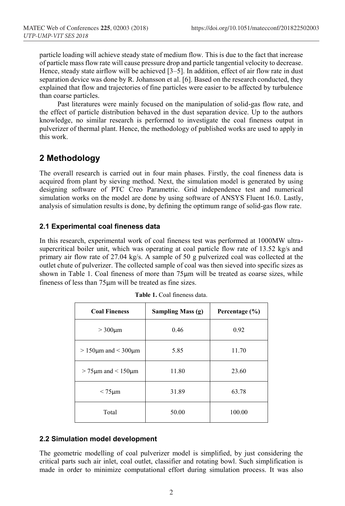particle loading will achieve steady state of medium flow. This is due to the fact that increase of particle mass flow rate will cause pressure drop and particle tangential velocity to decrease. Hence, steady state airflow will be achieved [3–5]. In addition, effect of air flow rate in dust separation device was done by R. Johansson et al. [6]. Based on the research conducted, they explained that flow and trajectories of fine particles were easier to be affected by turbulence than coarse particles.

Past literatures were mainly focused on the manipulation of solid-gas flow rate, and the effect of particle distribution behaved in the dust separation device. Up to the authors knowledge, no similar research is performed to investigate the coal fineness output in pulverizer of thermal plant. Hence, the methodology of published works are used to apply in this work.

## **2 Methodology**

The overall research is carried out in four main phases. Firstly, the coal fineness data is acquired from plant by sieving method. Next, the simulation model is generated by using designing software of PTC Creo Parametric. Grid independence test and numerical simulation works on the model are done by using software of ANSYS Fluent 16.0. Lastly, analysis of simulation results is done, by defining the optimum range of solid-gas flow rate.

#### **2.1 Experimental coal fineness data**

In this research, experimental work of coal fineness test was performed at 1000MW ultrasupercritical boiler unit, which was operating at coal particle flow rate of 13.52 kg/s and primary air flow rate of 27.04 kg/s. A sample of 50 g pulverized coal was collected at the outlet chute of pulverizer. The collected sample of coal was then sieved into specific sizes as shown in Table 1. Coal fineness of more than 75um will be treated as coarse sizes, while fineness of less than 75µm will be treated as fine sizes.

| <b>Coal Fineness</b>            | Sampling Mass $(g)$ | Percentage (%) |  |  |
|---------------------------------|---------------------|----------------|--|--|
| $>300 \mu m$                    | 0.46                | 0.92           |  |  |
| $> 150 \mu m$ and $< 300 \mu m$ | 5.85                | 11.70          |  |  |
| $> 75 \mu m$ and $< 150 \mu m$  | 11.80               | 23.60          |  |  |
| $< 75 \mu m$                    | 31.89               | 63.78          |  |  |
| Total                           | 50.00               | 100.00         |  |  |

## **2.2 Simulation model development**

The geometric modelling of coal pulverizer model is simplified, by just considering the critical parts such air inlet, coal outlet, classifier and rotating bowl. Such simplification is made in order to minimize computational effort during simulation process. It was also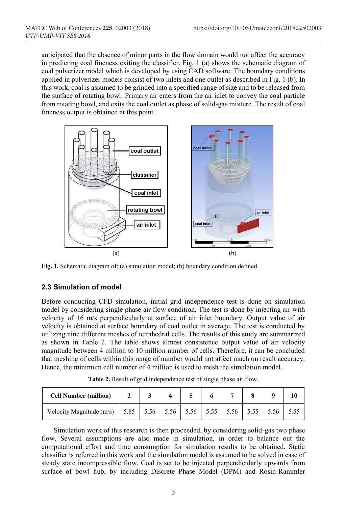anticipated that the absence of minor parts in the flow domain would not affect the accuracy in predicting coal fineness exiting the classifier. Fig. 1 (a) shows the schematic diagram of coal pulverizer model which is developed by using CAD software. The boundary conditions applied in pulverizer models consist of two inlets and one outlet as described in Fig. 1 (b). In this work, coal is assumed to be grinded into a specified range of size and to be released from the surface of rotating bowl. Primary air enters from the air inlet to convey the coal particle from rotating bowl, and exits the coal outlet as phase of solid-gas mixture. The result of coal fineness output is obtained at this point.



**Fig. 1.** Schematic diagram of: (a) simulation model; (b) boundary condition defined.

#### **2.3 Simulation of model**

Before conducting CFD simulation, initial grid independence test is done on simulation model by considering single phase air flow condition. The test is done by injecting air with velocity of 16 m/s perpendicularly at surface of air inlet boundary. Output value of air velocity is obtained at surface boundary of coal outlet in average. The test is conducted by utilizing nine different meshes of tetrahedral cells. The results of this study are summarized as shown in Table 2. The table shows almost consistence output value of air velocity magnitude between 4 million to 10 million number of cells. Therefore, it can be concluded that meshing of cells within this range of number would not affect much on result accuracy. Hence, the minimum cell number of 4 million is used to mesh the simulation model.

| <b>Cell Number (million)</b>                                              |  |  |  |  |  |
|---------------------------------------------------------------------------|--|--|--|--|--|
| Velocity Magnitude (m/s)   5.85   5.56   5.56   5.56   5.55   5.55   5.56 |  |  |  |  |  |

**Table 2.** Result of grid independence test of single phase air flow.

Simulation work of this research is then proceeded, by considering solid-gas two phase flow. Several assumptions are also made in simulation, in order to balance out the computational effort and time consumption for simulation results to be obtained. Static classifier is referred in this work and the simulation model is assumed to be solved in case of steady state incompressible flow. Coal is set to be injected perpendicularly upwards from surface of bowl hub, by including Discrete Phase Model (DPM) and Rosin-Rammler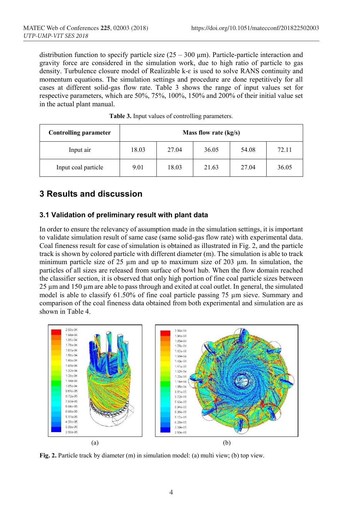distribution function to specify particle size  $(25 - 300 \,\mu\text{m})$ . Particle-particle interaction and gravity force are considered in the simulation work, due to high ratio of particle to gas density. Turbulence closure model of Realizable k- $\varepsilon$  is used to solve RANS continuity and momentum equations. The simulation settings and procedure are done repetitively for all cases at different solid-gas flow rate. Table 3 shows the range of input values set for respective parameters, which are 50%, 75%, 100%, 150% and 200% of their initial value set in the actual plant manual.

| <b>Controlling parameter</b> | Mass flow rate $(kg/s)$ |       |       |       |       |  |  |
|------------------------------|-------------------------|-------|-------|-------|-------|--|--|
| Input air                    | 18.03                   | 27.04 | 36.05 | 54.08 | 72.11 |  |  |
| Input coal particle          | 9.01                    | 18.03 | 21.63 | 27.04 | 36.05 |  |  |

## **3 Results and discussion**

#### **3.1 Validation of preliminary result with plant data**

In order to ensure the relevancy of assumption made in the simulation settings, it is important to validate simulation result of same case (same solid-gas flow rate) with experimental data. Coal fineness result for case of simulation is obtained as illustrated in Fig. 2, and the particle track is shown by colored particle with different diameter (m). The simulation is able to track minimum particle size of 25 µm and up to maximum size of 203 µm. In simulation, the particles of all sizes are released from surface of bowl hub. When the flow domain reached the classifier section, it is observed that only high portion of fine coal particle sizes between 25 µm and 150 µm are able to pass through and exited at coal outlet. In general, the simulated model is able to classify 61.50% of fine coal particle passing 75 µm sieve. Summary and comparison of the coal fineness data obtained from both experimental and simulation are as shown in Table 4.



**Fig. 2.** Particle track by diameter (m) in simulation model: (a) multi view; (b) top view.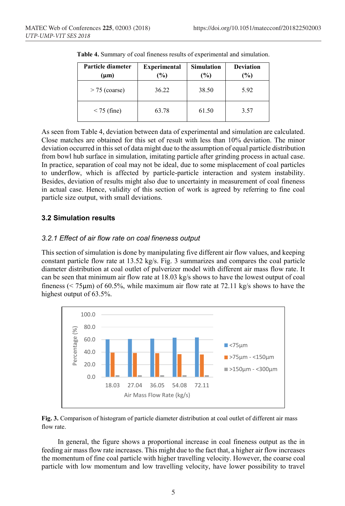| Particle diameter<br>$(\mu m)$ | <b>Experimental</b><br>(%) | <b>Simulation</b><br>$(\%)$ | <b>Deviation</b><br>$(\%)$ |
|--------------------------------|----------------------------|-----------------------------|----------------------------|
| $> 75$ (coarse)                | 36.22                      | 38.50                       | 5.92                       |
| $<$ 75 (fine)                  | 63.78                      | 61.50                       | 3.57                       |

**Table 4.** Summary of coal fineness results of experimental and simulation.

As seen from Table 4, deviation between data of experimental and simulation are calculated. Close matches are obtained for this set of result with less than 10% deviation. The minor deviation occurred in this set of data might due to the assumption of equal particle distribution from bowl hub surface in simulation, imitating particle after grinding process in actual case. In practice, separation of coal may not be ideal, due to some misplacement of coal particles to underflow, which is affected by particle-particle interaction and system instability. Besides, deviation of results might also due to uncertainty in measurement of coal fineness in actual case. Hence, validity of this section of work is agreed by referring to fine coal particle size output, with small deviations.

#### **3.2 Simulation results**

#### *3.2.1 Effect of air flow rate on coal fineness output*

This section of simulation is done by manipulating five different air flow values, and keeping constant particle flow rate at 13.52 kg/s. Fig. 3 summarizes and compares the coal particle diameter distribution at coal outlet of pulverizer model with different air mass flow rate. It can be seen that minimum air flow rate at 18.03 kg/s shows to have the lowest output of coal fineness ( $\leq$  75 $\mu$ m) of 60.5%, while maximum air flow rate at 72.11 kg/s shows to have the highest output of 63.5%.



**Fig. 3.** Comparison of histogram of particle diameter distribution at coal outlet of different air mass flow rate.

In general, the figure shows a proportional increase in coal fineness output as the in feeding air mass flow rate increases. This might due to the fact that, a higher air flow increases the momentum of fine coal particle with higher travelling velocity. However, the coarse coal particle with low momentum and low travelling velocity, have lower possibility to travel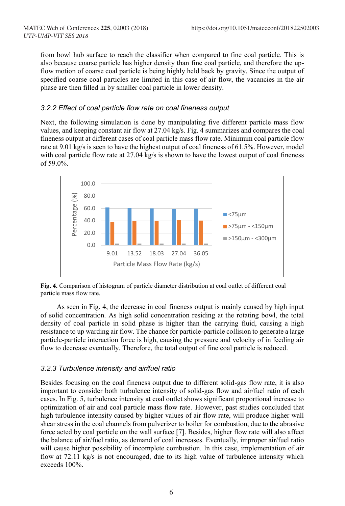from bowl hub surface to reach the classifier when compared to fine coal particle. This is also because coarse particle has higher density than fine coal particle, and therefore the upflow motion of coarse coal particle is being highly held back by gravity. Since the output of specified coarse coal particles are limited in this case of air flow, the vacancies in the air phase are then filled in by smaller coal particle in lower density.

#### *3.2.2 Effect of coal particle flow rate on coal fineness output*

Next, the following simulation is done by manipulating five different particle mass flow values, and keeping constant air flow at 27.04 kg/s. Fig. 4 summarizes and compares the coal fineness output at different cases of coal particle mass flow rate. Minimum coal particle flow rate at 9.01 kg/s is seen to have the highest output of coal fineness of 61.5%. However, model with coal particle flow rate at 27.04 kg/s is shown to have the lowest output of coal fineness of 59.0%.



**Fig. 4.** Comparison of histogram of particle diameter distribution at coal outlet of different coal particle mass flow rate.

As seen in Fig. 4, the decrease in coal fineness output is mainly caused by high input of solid concentration. As high solid concentration residing at the rotating bowl, the total density of coal particle in solid phase is higher than the carrying fluid, causing a high resistance to up warding air flow. The chance for particle-particle collision to generate a large particle-particle interaction force is high, causing the pressure and velocity of in feeding air flow to decrease eventually. Therefore, the total output of fine coal particle is reduced.

#### *3.2.3 Turbulence intensity and air/fuel ratio*

Besides focusing on the coal fineness output due to different solid-gas flow rate, it is also important to consider both turbulence intensity of solid-gas flow and air/fuel ratio of each cases. In Fig. 5, turbulence intensity at coal outlet shows significant proportional increase to optimization of air and coal particle mass flow rate. However, past studies concluded that high turbulence intensity caused by higher values of air flow rate, will produce higher wall shear stress in the coal channels from pulverizer to boiler for combustion, due to the abrasive force acted by coal particle on the wall surface [7]. Besides, higher flow rate will also affect the balance of air/fuel ratio, as demand of coal increases. Eventually, improper air/fuel ratio will cause higher possibility of incomplete combustion. In this case, implementation of air flow at 72.11 kg/s is not encouraged, due to its high value of turbulence intensity which exceeds 100%.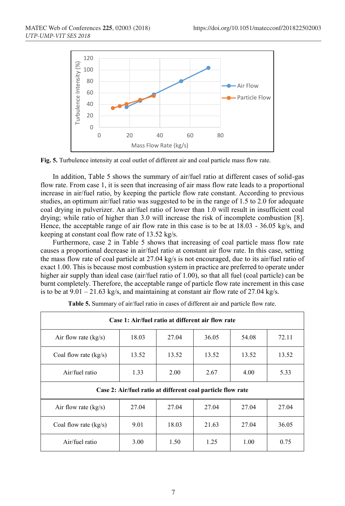

**Fig. 5.** Turbulence intensity at coal outlet of different air and coal particle mass flow rate.

In addition, Table 5 shows the summary of air/fuel ratio at different cases of solid-gas flow rate. From case 1, it is seen that increasing of air mass flow rate leads to a proportional increase in air/fuel ratio, by keeping the particle flow rate constant. According to previous studies, an optimum air/fuel ratio was suggested to be in the range of 1.5 to 2.0 for adequate coal drying in pulverizer. An air/fuel ratio of lower than 1.0 will result in insufficient coal drying; while ratio of higher than 3.0 will increase the risk of incomplete combustion [8]. Hence, the acceptable range of air flow rate in this case is to be at 18.03 - 36.05 kg/s, and keeping at constant coal flow rate of 13.52 kg/s.

Furthermore, case 2 in Table 5 shows that increasing of coal particle mass flow rate causes a proportional decrease in air/fuel ratio at constant air flow rate. In this case, setting the mass flow rate of coal particle at  $27.04 \text{ kg/s}$  is not encouraged, due to its air/fuel ratio of exact 1.00. This is because most combustion system in practice are preferred to operate under higher air supply than ideal case (air/fuel ratio of 1.00), so that all fuel (coal particle) can be burnt completely. Therefore, the acceptable range of particle flow rate increment in this case is to be at  $9.01 - 21.63$  kg/s, and maintaining at constant air flow rate of 27.04 kg/s.

| Case 1: Air/fuel ratio at different air flow rate           |       |       |       |       |       |  |  |  |
|-------------------------------------------------------------|-------|-------|-------|-------|-------|--|--|--|
| Air flow rate $(kg/s)$                                      | 18.03 | 27.04 | 36.05 | 54.08 | 72.11 |  |  |  |
| Coal flow rate $(kg/s)$                                     | 13.52 | 13.52 | 13.52 | 13.52 | 13.52 |  |  |  |
| Air/fuel ratio                                              | 1.33  | 2.00  | 2.67  | 4.00  | 5.33  |  |  |  |
| Case 2: Air/fuel ratio at different coal particle flow rate |       |       |       |       |       |  |  |  |
| Air flow rate (kg/s)                                        | 27.04 | 27.04 | 27.04 | 27.04 | 27.04 |  |  |  |
| Coal flow rate $(kg/s)$                                     | 9.01  | 18.03 | 21.63 | 27.04 | 36.05 |  |  |  |
| Air/fuel ratio                                              | 3.00  | 1.50  | 1.25  | 1.00  | 0.75  |  |  |  |

**Table 5.** Summary of air/fuel ratio in cases of different air and particle flow rate.